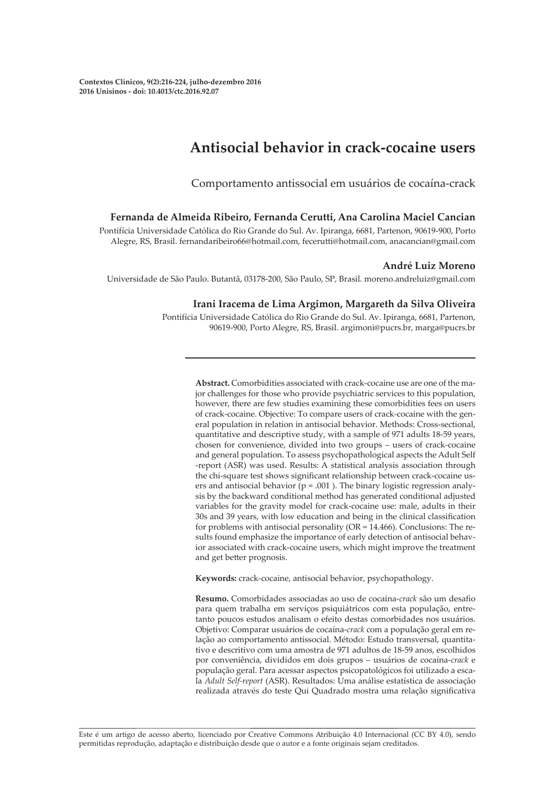# **Antisocial behavior in crack-cocaine users**

Comportamento antissocial em usuários de cocaína-crack

#### **Fernanda de Almeida Ribeiro, Fernanda Cerutti, Ana Carolina Maciel Cancian**

Pontifícia Universidade Católica do Rio Grande do Sul. Av. Ipiranga, 6681, Partenon, 90619-900, Porto Alegre, RS, Brasil. fernandaribeiro66@hotmail.com, fecerutti@hotmail.com, anacancian@gmail.com

#### **André Luiz Moreno**

Universidade de São Paulo. Butantã, 03178-200, São Paulo, SP, Brasil. moreno.andreluiz@gmail.com

#### **Irani Iracema de Lima Argimon, Margareth da Silva Oliveira**

Pontifícia Universidade Católica do Rio Grande do Sul. Av. Ipiranga, 6681, Partenon, 90619-900, Porto Alegre, RS, Brasil. argimoni@pucrs.br, marga@pucrs.br

> **Abstract.** Comorbidities associated with crack-cocaine use are one of the major challenges for those who provide psychiatric services to this population, however, there are few studies examining these comorbidities fees on users of crack-cocaine. Objective: To compare users of crack-cocaine with the general population in relation in antisocial behavior. Methods: Cross-sectional, quantitative and descriptive study, with a sample of 971 adults 18-59 years, chosen for convenience, divided into two groups – users of crack-cocaine and general population. To assess psychopathological aspects the Adult Self -report (ASR) was used. Results: A statistical analysis association through the chi-square test shows significant relationship between crack-cocaine users and antisocial behavior ( $p = .001$ ). The binary logistic regression analysis by the backward conditional method has generated conditional adjusted variables for the gravity model for crack-cocaine use: male, adults in their 30s and 39 years, with low education and being in the clinical classification for problems with antisocial personality (OR = 14.466). Conclusions: The results found emphasize the importance of early detection of antisocial behavior associated with crack-cocaine users, which might improve the treatment and get better prognosis.

**Keywords:** crack-cocaine, antisocial behavior, psychopathology.

**Resumo.** Comorbidades associadas ao uso de cocaína-*crack* são um desafio para quem trabalha em serviços psiquiátricos com esta população, entretanto poucos estudos analisam o efeito destas comorbidades nos usuários. Objetivo: Comparar usuários de cocaína-*crack* com a população geral em relação ao comportamento antissocial. Método: Estudo transversal, quantitativo e descritivo com uma amostra de 971 adultos de 18-59 anos, escolhidos por conveniência, divididos em dois grupos – usuários de cocaína-*crack* e população geral. Para acessar aspectos psicopatológicos foi utilizado a escala *Adult Self-report* (ASR). Resultados: Uma análise estatística de associação realizada através do teste Qui Quadrado mostra uma relação significativa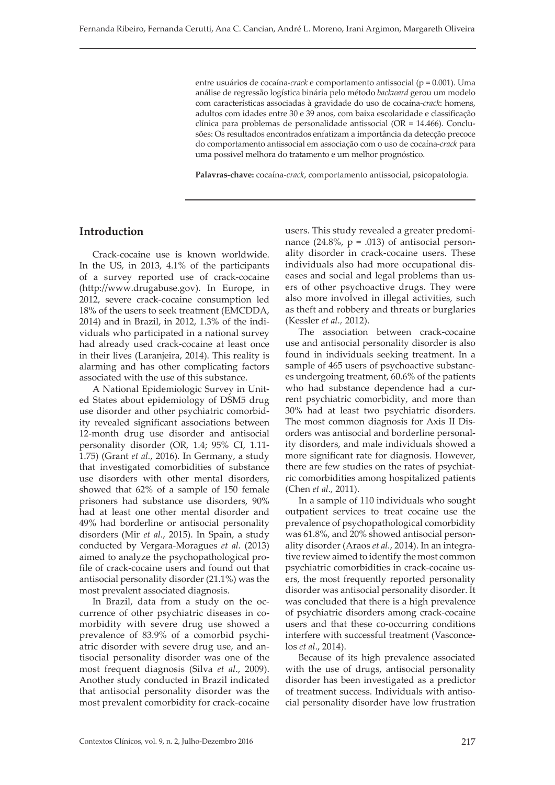entre usuários de cocaína-*crack* e comportamento antissocial (p = 0.001). Uma análise de regressão logística binária pelo método *backward* gerou um modelo com características associadas à gravidade do uso de cocaína-*crack*: homens, adultos com idades entre 30 e 39 anos, com baixa escolaridade e classificação clínica para problemas de personalidade antissocial (OR = 14.466). Conclusões: Os resultados encontrados enfatizam a importância da detecção precoce do comportamento antissocial em associação com o uso de cocaína-*crack* para uma possível melhora do tratamento e um melhor prognóstico.

**Palavras-chave:** cocaína-*crack*, comportamento antissocial, psicopatologia.

# **Introduction**

Crack-cocaine use is known worldwide. In the US, in 2013, 4.1% of the participants of a survey reported use of crack-cocaine (http://www.drugabuse.gov). In Europe, in 2012, severe crack-cocaine consumption led 18% of the users to seek treatment (EMCDDA, 2014) and in Brazil, in 2012, 1.3% of the individuals who participated in a national survey had already used crack-cocaine at least once in their lives (Laranjeira, 2014). This reality is alarming and has other complicating factors associated with the use of this substance.

A National Epidemiologic Survey in United States about epidemiology of DSM5 drug use disorder and other psychiatric comorbidity revealed significant associations between 12-month drug use disorder and antisocial personality disorder (OR, 1.4; 95% CI, 1.11- 1.75) (Grant *et al.*, 2016). In Germany, a study that investigated comorbidities of substance use disorders with other mental disorders, showed that 62% of a sample of 150 female prisoners had substance use disorders, 90% had at least one other mental disorder and 49% had borderline or antisocial personality disorders (Mir *et al.*, 2015). In Spain, a study conducted by Vergara-Moragues *et al.* (2013) aimed to analyze the psychopathological profile of crack-cocaine users and found out that antisocial personality disorder (21.1%) was the most prevalent associated diagnosis.

In Brazil, data from a study on the occurrence of other psychiatric diseases in comorbidity with severe drug use showed a prevalence of 83.9% of a comorbid psychiatric disorder with severe drug use, and antisocial personality disorder was one of the most frequent diagnosis (Silva *et al*., 2009). Another study conducted in Brazil indicated that antisocial personality disorder was the most prevalent comorbidity for crack-cocaine

users. This study revealed a greater predominance  $(24.8\%, p = .013)$  of antisocial personality disorder in crack-cocaine users. These individuals also had more occupational diseases and social and legal problems than users of other psychoactive drugs. They were also more involved in illegal activities, such as theft and robbery and threats or burglaries (Kessler *et al.,* 2012).

The association between crack-cocaine use and antisocial personality disorder is also found in individuals seeking treatment. In a sample of 465 users of psychoactive substances undergoing treatment, 60.6% of the patients who had substance dependence had a current psychiatric comorbidity, and more than 30% had at least two psychiatric disorders. The most common diagnosis for Axis II Disorders was antisocial and borderline personality disorders, and male individuals showed a more significant rate for diagnosis. However, there are few studies on the rates of psychiatric comorbidities among hospitalized patients (Chen *et al.,* 2011).

In a sample of 110 individuals who sought outpatient services to treat cocaine use the prevalence of psychopathological comorbidity was 61.8%, and 20% showed antisocial personality disorder (Araos *et al.*, 2014). In an integrative review aimed to identify the most common psychiatric comorbidities in crack-cocaine users, the most frequently reported personality disorder was antisocial personality disorder. It was concluded that there is a high prevalence of psychiatric disorders among crack-cocaine users and that these co-occurring conditions interfere with successful treatment (Vasconcelos *et al*., 2014).

Because of its high prevalence associated with the use of drugs, antisocial personality disorder has been investigated as a predictor of treatment success. Individuals with antisocial personality disorder have low frustration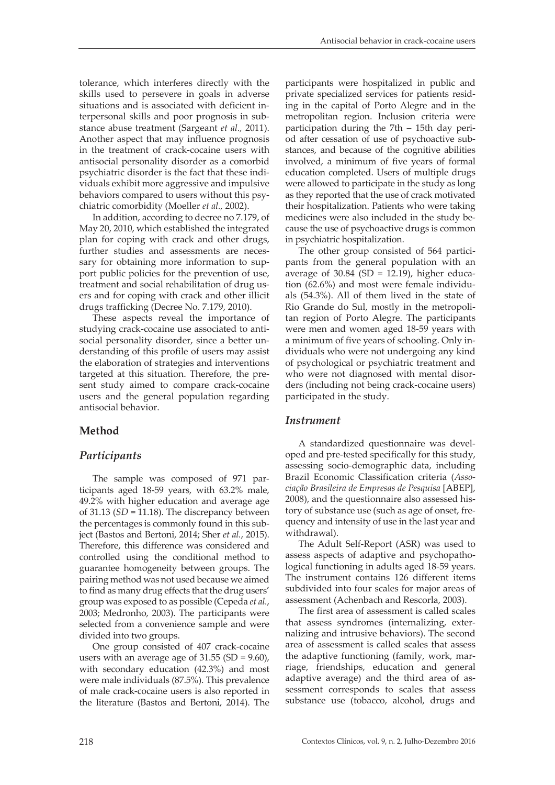tolerance, which interferes directly with the skills used to persevere in goals in adverse situations and is associated with deficient interpersonal skills and poor prognosis in substance abuse treatment (Sargeant *et al.,* 2011). Another aspect that may influence prognosis in the treatment of crack-cocaine users with antisocial personality disorder as a comorbid psychiatric disorder is the fact that these individuals exhibit more aggressive and impulsive behaviors compared to users without this psychiatric comorbidity (Moeller *et al.,* 2002).

In addition, according to decree no 7.179, of May 20, 2010, which established the integrated plan for coping with crack and other drugs, further studies and assessments are necessary for obtaining more information to support public policies for the prevention of use, treatment and social rehabilitation of drug users and for coping with crack and other illicit drugs trafficking (Decree No. 7.179, 2010).

These aspects reveal the importance of studying crack-cocaine use associated to antisocial personality disorder, since a better understanding of this profile of users may assist the elaboration of strategies and interventions targeted at this situation. Therefore, the present study aimed to compare crack-cocaine users and the general population regarding antisocial behavior.

## **Method**

## *Participants*

The sample was composed of 971 participants aged 18-59 years, with 63.2% male, 49.2% with higher education and average age of 31.13 (*SD* = 11.18). The discrepancy between the percentages is commonly found in this subject (Bastos and Bertoni, 2014; Sher *et al.*, 2015). Therefore, this difference was considered and controlled using the conditional method to guarantee homogeneity between groups. The pairing method was not used because we aimed to find as many drug effects that the drug users' group was exposed to as possible (Cepeda *et al.*, 2003; Medronho, 2003). The participants were selected from a convenience sample and were divided into two groups.

One group consisted of 407 crack-cocaine users with an average age of  $31.55$  (SD =  $9.60$ ), with secondary education (42.3%) and most were male individuals (87.5%). This prevalence of male crack-cocaine users is also reported in the literature (Bastos and Bertoni, 2014). The

participants were hospitalized in public and private specialized services for patients residing in the capital of Porto Alegre and in the metropolitan region. Inclusion criteria were participation during the 7th – 15th day period after cessation of use of psychoactive substances, and because of the cognitive abilities involved, a minimum of five years of formal education completed. Users of multiple drugs were allowed to participate in the study as long as they reported that the use of crack motivated their hospitalization. Patients who were taking medicines were also included in the study because the use of psychoactive drugs is common in psychiatric hospitalization.

The other group consisted of 564 participants from the general population with an average of  $30.84$  (SD =  $12.19$ ), higher education (62.6%) and most were female individuals (54.3%). All of them lived in the state of Rio Grande do Sul, mostly in the metropolitan region of Porto Alegre. The participants were men and women aged 18-59 years with a minimum of five years of schooling. Only individuals who were not undergoing any kind of psychological or psychiatric treatment and who were not diagnosed with mental disorders (including not being crack-cocaine users) participated in the study.

#### *Instrument*

A standardized questionnaire was developed and pre-tested specifically for this study, assessing socio-demographic data, including Brazil Economic Classification criteria (*Associação Brasileira de Empresas de Pesquisa* [ABEP], 2008), and the questionnaire also assessed history of substance use (such as age of onset, frequency and intensity of use in the last year and withdrawal).

The Adult Self-Report (ASR) was used to assess aspects of adaptive and psychopathological functioning in adults aged 18-59 years. The instrument contains 126 different items subdivided into four scales for major areas of assessment (Achenbach and Rescorla, 2003).

The first area of assessment is called scales that assess syndromes (internalizing, externalizing and intrusive behaviors). The second area of assessment is called scales that assess the adaptive functioning (family, work, marriage, friendships, education and general adaptive average) and the third area of assessment corresponds to scales that assess substance use (tobacco, alcohol, drugs and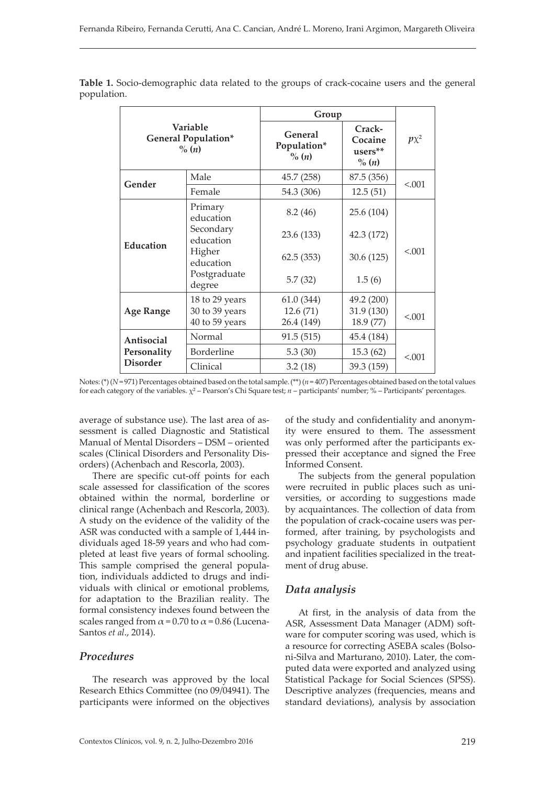| Variable<br><b>General Population*</b><br>$\%$ $(n)$ |                                  | Group                                       |                                          |           |  |
|------------------------------------------------------|----------------------------------|---------------------------------------------|------------------------------------------|-----------|--|
|                                                      |                                  | General<br>Population*<br>$\%$ ( <i>n</i> ) | Crack-<br>Cocaine<br>users**<br>$\%$ (n) | $p\chi^2$ |  |
| Gender                                               | Male                             | 45.7 (258)                                  | 87.5 (356)                               | < 0.001   |  |
|                                                      | Female                           | 54.3 (306)                                  | 12.5(51)                                 |           |  |
| Education                                            | Primary<br>education             | 8.2(46)                                     | 25.6 (104)                               |           |  |
|                                                      | Secondary<br>education           | 23.6 (133)                                  | 42.3 (172)                               | < 0.01    |  |
|                                                      | Higher<br>education              | 62.5(353)                                   | 30.6(125)                                |           |  |
|                                                      | Postgraduate<br>degree           | 5.7(32)                                     | 1.5(6)                                   |           |  |
| <b>Age Range</b>                                     | 18 to 29 years                   | 61.0(344)                                   | 49.2 (200)                               |           |  |
|                                                      | 30 to 39 years<br>40 to 59 years | 12.6(71)<br>26.4 (149)                      | 31.9 (130)<br>18.9 (77)                  | < 0.001   |  |
| Antisocial<br>Personality<br><b>Disorder</b>         | Normal                           | 91.5(515)                                   | 45.4 (184)                               |           |  |
|                                                      | Borderline                       | 5.3(30)                                     | 15.3 (62)                                | < 0.001   |  |
|                                                      | Clinical                         | 3.2(18)                                     | 39.3 (159)                               |           |  |

**Table 1.** Socio-demographic data related to the groups of crack-cocaine users and the general population.

Notes: (\*) (*N* = 971) Percentages obtained based on the total sample. (\*\*) (*n* = 407) Percentages obtained based on the total values for each category of the variables. χ² – Pearson's Chi Square test; *n* – participants' number; % – Participants' percentages.

average of substance use). The last area of assessment is called Diagnostic and Statistical Manual of Mental Disorders – DSM – oriented scales (Clinical Disorders and Personality Disorders) (Achenbach and Rescorla, 2003).

There are specific cut-off points for each scale assessed for classification of the scores obtained within the normal, borderline or clinical range (Achenbach and Rescorla, 2003). A study on the evidence of the validity of the ASR was conducted with a sample of 1,444 individuals aged 18-59 years and who had completed at least five years of formal schooling. This sample comprised the general population, individuals addicted to drugs and individuals with clinical or emotional problems, for adaptation to the Brazilian reality. The formal consistency indexes found between the scales ranged from  $\alpha$  = 0.70 to  $\alpha$  = 0.86 (Lucena-Santos *et al*., 2014).

# *Procedures*

The research was approved by the local Research Ethics Committee (no 09/04941). The participants were informed on the objectives of the study and confidentiality and anonymity were ensured to them. The assessment was only performed after the participants expressed their acceptance and signed the Free Informed Consent.

The subjects from the general population were recruited in public places such as universities, or according to suggestions made by acquaintances. The collection of data from the population of crack-cocaine users was performed, after training, by psychologists and psychology graduate students in outpatient and inpatient facilities specialized in the treatment of drug abuse.

# *Data analysis*

At first, in the analysis of data from the ASR, Assessment Data Manager (ADM) software for computer scoring was used, which is a resource for correcting ASEBA scales (Bolsoni-Silva and Marturano, 2010). Later, the computed data were exported and analyzed using Statistical Package for Social Sciences (SPSS). Descriptive analyzes (frequencies, means and standard deviations), analysis by association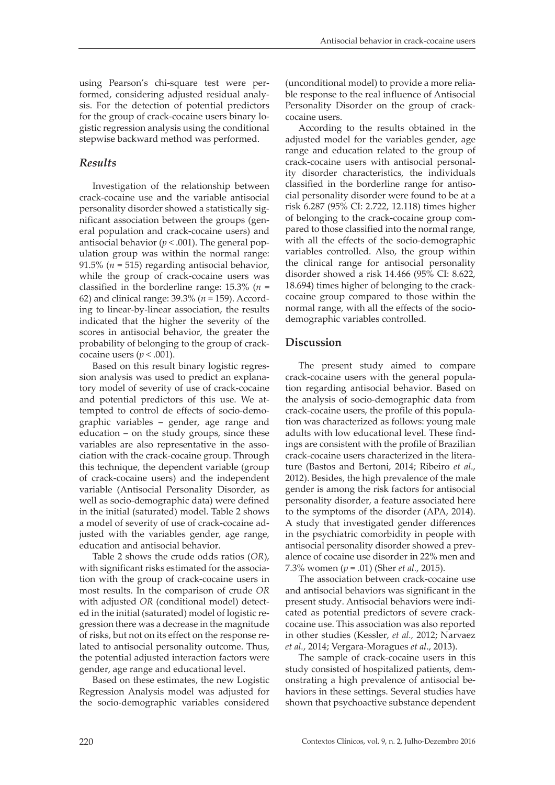using Pearson's chi-square test were performed, considering adjusted residual analysis. For the detection of potential predictors for the group of crack-cocaine users binary logistic regression analysis using the conditional stepwise backward method was performed.

## *Results*

Investigation of the relationship between crack-cocaine use and the variable antisocial personality disorder showed a statistically significant association between the groups (general population and crack-cocaine users) and antisocial behavior  $(p < .001)$ . The general population group was within the normal range: 91.5% ( $n = 515$ ) regarding antisocial behavior, while the group of crack-cocaine users was classified in the borderline range: 15.3% (*n* = 62) and clinical range: 39.3% (*n* = 159). According to linear-by-linear association, the results indicated that the higher the severity of the scores in antisocial behavior, the greater the probability of belonging to the group of crackcocaine users  $(p < .001)$ .

Based on this result binary logistic regression analysis was used to predict an explanatory model of severity of use of crack-cocaine and potential predictors of this use. We attempted to control de effects of socio-demographic variables – gender, age range and education – on the study groups, since these variables are also representative in the association with the crack-cocaine group. Through this technique, the dependent variable (group of crack-cocaine users) and the independent variable (Antisocial Personality Disorder, as well as socio-demographic data) were defined in the initial (saturated) model. Table 2 shows a model of severity of use of crack-cocaine adjusted with the variables gender, age range, education and antisocial behavior.

Table 2 shows the crude odds ratios (*OR*), with significant risks estimated for the association with the group of crack-cocaine users in most results. In the comparison of crude *OR* with adjusted *OR* (conditional model) detected in the initial (saturated) model of logistic regression there was a decrease in the magnitude of risks, but not on its effect on the response related to antisocial personality outcome. Thus, the potential adjusted interaction factors were gender, age range and educational level.

Based on these estimates, the new Logistic Regression Analysis model was adjusted for the socio-demographic variables considered

(unconditional model) to provide a more reliable response to the real influence of Antisocial Personality Disorder on the group of crackcocaine users.

According to the results obtained in the adjusted model for the variables gender, age range and education related to the group of crack-cocaine users with antisocial personality disorder characteristics, the individuals classified in the borderline range for antisocial personality disorder were found to be at a risk 6.287 (95% CI: 2.722, 12.118) times higher of belonging to the crack-cocaine group compared to those classified into the normal range, with all the effects of the socio-demographic variables controlled. Also, the group within the clinical range for antisocial personality disorder showed a risk 14.466 (95% CI: 8.622, 18.694) times higher of belonging to the crackcocaine group compared to those within the normal range, with all the effects of the sociodemographic variables controlled.

# **Discussion**

The present study aimed to compare crack-cocaine users with the general population regarding antisocial behavior. Based on the analysis of socio-demographic data from crack-cocaine users, the profile of this population was characterized as follows: young male adults with low educational level. These findings are consistent with the profile of Brazilian crack-cocaine users characterized in the literature (Bastos and Bertoni, 2014; Ribeiro *et al*., 2012). Besides, the high prevalence of the male gender is among the risk factors for antisocial personality disorder, a feature associated here to the symptoms of the disorder (APA, 2014). A study that investigated gender differences in the psychiatric comorbidity in people with antisocial personality disorder showed a prevalence of cocaine use disorder in 22% men and 7.3% women (*p* = .01) (Sher *et al.*, 2015).

The association between crack-cocaine use and antisocial behaviors was significant in the present study. Antisocial behaviors were indicated as potential predictors of severe crackcocaine use. This association was also reported in other studies (Kessler, *et al.,* 2012; Narvaez *et al.*, 2014; Vergara-Moragues *et al*., 2013).

The sample of crack-cocaine users in this study consisted of hospitalized patients, demonstrating a high prevalence of antisocial behaviors in these settings. Several studies have shown that psychoactive substance dependent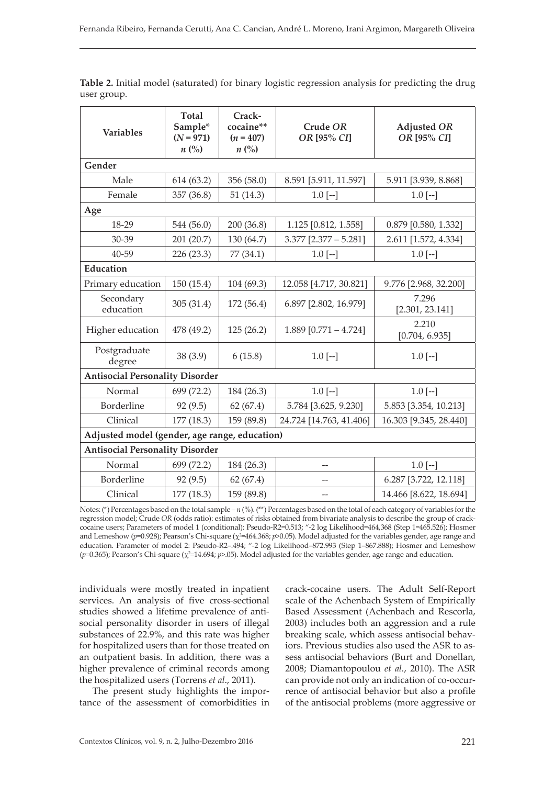| <b>Variables</b>                              | <b>Total</b><br>Sample*<br>$(N = 971)$<br>$n\left(\%\right)$ | Crack-<br>cocaine**<br>$(n = 407)$<br>$n\left(\%\right)$ | Crude OR<br>OR [95% CI] | <b>Adjusted OR</b><br>OR [95% CI] |  |  |  |
|-----------------------------------------------|--------------------------------------------------------------|----------------------------------------------------------|-------------------------|-----------------------------------|--|--|--|
| Gender                                        |                                                              |                                                          |                         |                                   |  |  |  |
| Male                                          | 614 (63.2)                                                   | 356 (58.0)                                               | 8.591 [5.911, 11.597]   | 5.911 [3.939, 8.868]              |  |  |  |
| Female                                        | 357 (36.8)                                                   | 51(14.3)                                                 | $1.0$ [--]              | $1.0$ [--]                        |  |  |  |
| Age                                           |                                                              |                                                          |                         |                                   |  |  |  |
| 18-29                                         | 544 (56.0)                                                   | 200 (36.8)                                               | 1.125 [0.812, 1.558]    | 0.879 [0.580, 1.332]              |  |  |  |
| 30-39                                         | 201 (20.7)                                                   | 130 (64.7)                                               | $3.377$ [2.377 - 5.281] | 2.611 [1.572, 4.334]              |  |  |  |
| 40-59                                         | 226 (23.3)                                                   | 77 (34.1)                                                | $1.0$ [--]              | $1.0$ [--]                        |  |  |  |
| <b>Education</b>                              |                                                              |                                                          |                         |                                   |  |  |  |
| Primary education                             | 150 (15.4)                                                   | 104 (69.3)                                               | 12.058 [4.717, 30.821]  | 9.776 [2.968, 32.200]             |  |  |  |
| Secondary<br>education                        | 305 (31.4)                                                   | 172 (56.4)                                               | 6.897 [2.802, 16.979]   | 7.296<br>[2.301, 23.141]          |  |  |  |
| Higher education                              | 478 (49.2)                                                   | 125(26.2)                                                | $1.889$ [0.771 - 4.724] | 2.210<br>[0.704, 6.935]           |  |  |  |
| Postgraduate<br>degree                        | 38(3.9)                                                      | 6(15.8)                                                  | $1.0$ [--]              | $1.0$ [--]                        |  |  |  |
| <b>Antisocial Personality Disorder</b>        |                                                              |                                                          |                         |                                   |  |  |  |
| Normal                                        | 699 (72.2)                                                   | 184 (26.3)                                               | $1.0[-]$                | $1.0$ [--]                        |  |  |  |
| Borderline                                    | 92 (9.5)                                                     | 62(67.4)                                                 | 5.784 [3.625, 9.230]    | 5.853 [3.354, 10.213]             |  |  |  |
| Clinical                                      | 177(18.3)                                                    | 159 (89.8)                                               | 24.724 [14.763, 41.406] | 16.303 [9.345, 28.440]            |  |  |  |
| Adjusted model (gender, age range, education) |                                                              |                                                          |                         |                                   |  |  |  |
| <b>Antisocial Personality Disorder</b>        |                                                              |                                                          |                         |                                   |  |  |  |
| Normal                                        | 699 (72.2)                                                   | 184 (26.3)                                               | --                      | $1.0$ [--]                        |  |  |  |
| Borderline                                    | 92 (9.5)                                                     | 62(67.4)                                                 |                         | 6.287 [3.722, 12.118]             |  |  |  |
| Clinical                                      | 177 (18.3)                                                   | 159 (89.8)                                               | --                      | 14.466 [8.622, 18.694]            |  |  |  |

**Table 2.** Initial model (saturated) for binary logistic regression analysis for predicting the drug user group.

Notes: (\*) Percentages based on the total sample – *n* (%). (\*\*) Percentages based on the total of each category of variables for the regression model; Crude *OR* (odds ratio): estimates of risks obtained from bivariate analysis to describe the group of crackcocaine users; Parameters of model 1 (conditional): Pseudo-R2=0.513; "-2 log Likelihood=464,368 (Step 1=465.526); Hosmer and Lemeshow (p=0.928); Pearson's Chi-square ( $\chi^2$ =464.368; *p*>0.05). Model adjusted for the variables gender, age range and education. Parameter of model 2: Pseudo-R2=.494; "-2 log Likelihood=872.993 (Step 1=867.888); Hosmer and Lemeshow (*p*=0.365); Pearson's Chi-square ( $\chi$ <sup>2</sup>=14.694; *p*>.05). Model adjusted for the variables gender, age range and education.

individuals were mostly treated in inpatient services. An analysis of five cross-sectional studies showed a lifetime prevalence of antisocial personality disorder in users of illegal substances of 22.9%, and this rate was higher for hospitalized users than for those treated on an outpatient basis. In addition, there was a higher prevalence of criminal records among the hospitalized users (Torrens *et al*., 2011).

The present study highlights the importance of the assessment of comorbidities in crack-cocaine users. The Adult Self-Report scale of the Achenbach System of Empirically Based Assessment (Achenbach and Rescorla, 2003) includes both an aggression and a rule breaking scale, which assess antisocial behaviors. Previous studies also used the ASR to assess antisocial behaviors (Burt and Donellan, 2008; Diamantopoulou *et al.*, 2010). The ASR can provide not only an indication of co-occurrence of antisocial behavior but also a profile of the antisocial problems (more aggressive or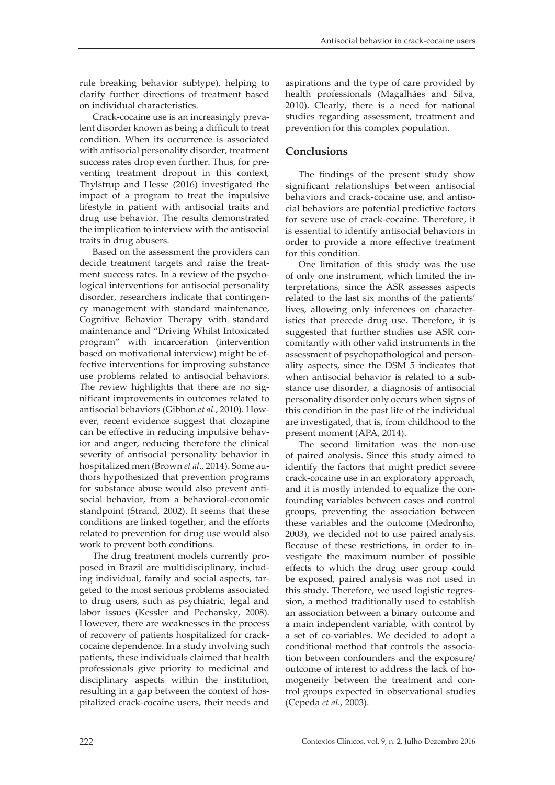rule breaking behavior subtype), helping to clarify further directions of treatment based on individual characteristics.

Crack-cocaine use is an increasingly prevalent disorder known as being a difficult to treat condition. When its occurrence is associated with antisocial personality disorder, treatment success rates drop even further. Thus, for preventing treatment dropout in this context, Thylstrup and Hesse (2016) investigated the impact of a program to treat the impulsive lifestyle in patient with antisocial traits and drug use behavior. The results demonstrated the implication to interview with the antisocial traits in drug abusers.

Based on the assessment the providers can decide treatment targets and raise the treatment success rates. In a review of the psychological interventions for antisocial personality disorder, researchers indicate that contingency management with standard maintenance, Cognitive Behavior Therapy with standard maintenance and "Driving Whilst Intoxicated program" with incarceration (intervention based on motivational interview) might be effective interventions for improving substance use problems related to antisocial behaviors. The review highlights that there are no significant improvements in outcomes related to antisocial behaviors (Gibbon *et al.*, 2010). However, recent evidence suggest that clozapine can be effective in reducing impulsive behavior and anger, reducing therefore the clinical severity of antisocial personality behavior in hospitalized men (Brown *et al*., 2014). Some authors hypothesized that prevention programs for substance abuse would also prevent antisocial behavior, from a behavioral-economic standpoint (Strand, 2002). It seems that these conditions are linked together, and the efforts related to prevention for drug use would also work to prevent both conditions.

The drug treatment models currently proposed in Brazil are multidisciplinary, including individual, family and social aspects, targeted to the most serious problems associated to drug users, such as psychiatric, legal and labor issues (Kessler and Pechansky, 2008). However, there are weaknesses in the process of recovery of patients hospitalized for crackcocaine dependence. In a study involving such patients, these individuals claimed that health professionals give priority to medicinal and disciplinary aspects within the institution, resulting in a gap between the context of hospitalized crack-cocaine users, their needs and

aspirations and the type of care provided by health professionals (Magalhães and Silva, 2010). Clearly, there is a need for national studies regarding assessment, treatment and prevention for this complex population.

## **Conclusions**

The findings of the present study show significant relationships between antisocial behaviors and crack-cocaine use, and antisocial behaviors are potential predictive factors for severe use of crack-cocaine. Therefore, it is essential to identify antisocial behaviors in order to provide a more effective treatment for this condition.

One limitation of this study was the use of only one instrument, which limited the interpretations, since the ASR assesses aspects related to the last six months of the patients' lives, allowing only inferences on characteristics that precede drug use. Therefore, it is suggested that further studies use ASR concomitantly with other valid instruments in the assessment of psychopathological and personality aspects, since the DSM 5 indicates that when antisocial behavior is related to a substance use disorder, a diagnosis of antisocial personality disorder only occurs when signs of this condition in the past life of the individual are investigated, that is, from childhood to the present moment (APA, 2014).

The second limitation was the non-use of paired analysis. Since this study aimed to identify the factors that might predict severe crack-cocaine use in an exploratory approach, and it is mostly intended to equalize the confounding variables between cases and control groups, preventing the association between these variables and the outcome (Medronho, 2003), we decided not to use paired analysis. Because of these restrictions, in order to investigate the maximum number of possible effects to which the drug user group could be exposed, paired analysis was not used in this study. Therefore, we used logistic regression, a method traditionally used to establish an association between a binary outcome and a main independent variable, with control by a set of co-variables. We decided to adopt a conditional method that controls the association between confounders and the exposure/ outcome of interest to address the lack of homogeneity between the treatment and control groups expected in observational studies (Cepeda *et al*., 2003).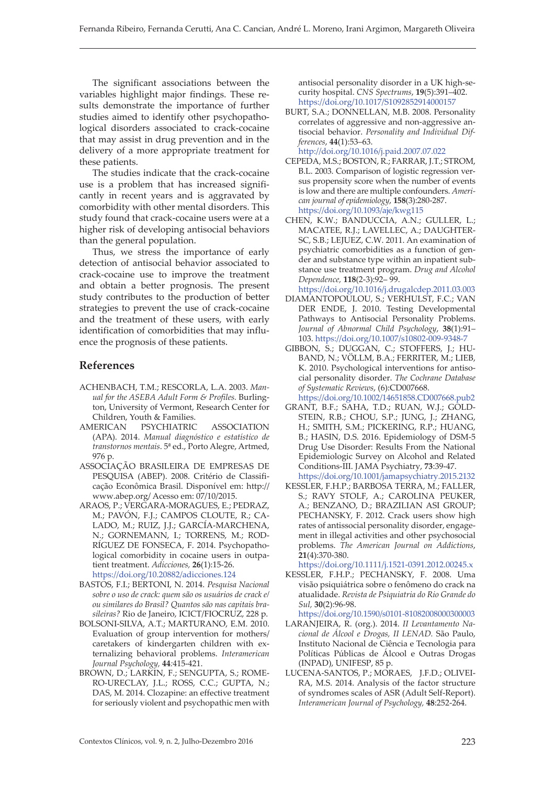The significant associations between the variables highlight major findings. These results demonstrate the importance of further studies aimed to identify other psychopathological disorders associated to crack-cocaine that may assist in drug prevention and in the delivery of a more appropriate treatment for these patients.

The studies indicate that the crack-cocaine use is a problem that has increased significantly in recent years and is aggravated by comorbidity with other mental disorders. This study found that crack-cocaine users were at a higher risk of developing antisocial behaviors than the general population.

Thus, we stress the importance of early detection of antisocial behavior associated to crack-cocaine use to improve the treatment and obtain a better prognosis. The present study contributes to the production of better strategies to prevent the use of crack-cocaine and the treatment of these users, with early identification of comorbidities that may influence the prognosis of these patients.

### **References**

- ACHENBACH, T.M.; RESCORLA, L.A. 2003. *Manual for the ASEBA Adult Form & Profiles.* Burlington, University of Vermont, Research Center for Children, Youth & Families.
- AMERICAN PSYCHIATRIC ASSOCIATION (APA). 2014. *Manual diagnóstico e estatístico de transtornos mentais*. 5ª ed., Porto Alegre, Artmed, 976 p.
- ASSOCIAÇÃO BRASILEIRA DE EMPRESAS DE PESQUISA (ABEP). 2008. Critério de Classificação Econômica Brasil. Disponível em: http:// www.abep.org/ Acesso em: 07/10/2015.
- ARAOS, P.; VERGARA-MORAGUES, E.; PEDRAZ, M.; PAVÓN, F.J.; CAMPOS CLOUTE, R.; CA-LADO, M.; RUIZ, J.J.; GARCÍA-MARCHENA, N.; GORNEMANN, I.; TORRENS, M.; ROD-RÍGUEZ DE FONSECA, F. 2014. Psychopathological comorbidity in cocaine users in outpatient treatment. *Adicciones,* **26**(1):15-26. https://doi.org/10.20882/adicciones.124
- BASTOS, F.I.; BERTONI, N. 2014. *Pesquisa Nacional sobre o uso de crack: quem são os usuários de crack e/ ou similares do Brasil? Quantos são nas capitais brasileiras?* Rio de Janeiro, ICICT/FIOCRUZ, 228 p.
- BOLSONI-SILVA, A.T.; MARTURANO, E.M. 2010. Evaluation of group intervention for mothers/ caretakers of kindergarten children with externalizing behavioral problems. *Interamerican Journal Psychology,* **44***:*415-421.
- BROWN, D.; LARKIN, F.; SENGUPTA, S.; ROME-RO-URECLAY, J.L.; ROSS, C.C.; GUPTA, N.; DAS, M. 2014. Clozapine: an effective treatment for seriously violent and psychopathic men with

antisocial personality disorder in a UK high-security hospital. *CNS Spectrums*, **19**(5):391–402. https://doi.org/10.1017/S1092852914000157

BURT, S.A.; DONNELLAN, M.B. 2008. Personality correlates of aggressive and non-aggressive antisocial behavior. *Personality and Individual Differences*, **44**(1):53–63. http://doi.org/10.1016/j.paid.2007.07.022

CEPEDA, M.S.; BOSTON, R.; FARRAR, J.T.; STROM, B.L. 2003. Comparison of logistic regression versus propensity score when the number of events is low and there are multiple confounders. *American journal of epidemiology*, **158**(3):280-287. https://doi.org/10.1093/aje/kwg115

- CHEN, K.W.; BANDUCCIA, A.N.; GULLER, L.; MACATEE, R.J.; LAVELLEC, A.; DAUGHTER-SC, S.B.; LEJUEZ, C.W. 2011. An examination of psychiatric comorbidities as a function of gender and substance type within an inpatient substance use treatment program. *Drug and Alcohol Dependence,* **118**(2-3):92– 99.
- https://doi.org/10.1016/j.drugalcdep.2011.03.003 DIAMANTOPOULOU, S.; VERHULST, F.C.; VAN DER ENDE, J. 2010. Testing Developmental Pathways to Antisocial Personality Problems. *Journal of Abnormal Child Psychology*, **38**(1):91–
- 103. https://doi.org/10.1007/s10802-009-9348-7 GIBBON, S.; DUGGAN, C.; STOFFERS, J.; HU-BAND, N.; VÖLLM, B.A.; FERRITER, M.; LIEB, K. 2010. Psychological interventions for antisocial personality disorder. *The Cochrane Database of Systematic Reviews*, (6):CD007668.

https://doi.org/10.1002/14651858.CD007668.pub2

- GRANT, B.F.; SAHA, T.D.; RUAN, W.J.; GOLD-STEIN, R.B.; CHOU, S.P.; JUNG, J.; ZHANG, H.; SMITH, S.M.; PICKERING, R.P.; HUANG, B.; HASIN, D.S. 2016. Epidemiology of DSM-5 Drug Use Disorder: Results From the National Epidemiologic Survey on Alcohol and Related Conditions-III. JAMA Psychiatry, **73**:39-47. https://doi.org/10.1001/jamapsychiatry.2015.2132
- KESSLER, F.H.P.; BARBOSA TERRA, M.; FALLER, S.; RAVY STOLF, A.; CAROLINA PEUKER, A.; BENZANO, D.; BRAZILIAN ASI GROUP; PECHANSKY, F. 2012. Crack users show high rates of antissocial personality disorder, engagement in illegal activities and other psychosocial problems. *The American Journal on Addictions*, **21**(4):370-380.

https://doi.org/10.1111/j.1521-0391.2012.00245.x

KESSLER, F.H.P.; PECHANSKY, F. 2008. Uma visão psiquiátrica sobre o fenômeno do crack na atualidade. *Revista de Psiquiatria do Rio Grande do Sul,* **30**(2):96-98.

https://doi.org/10.1590/s0101-81082008000300003

- LARANJEIRA, R. (org.). 2014. *II Levantamento Nacional de Álcool e Drogas, II LENAD.* São Paulo, Instituto Nacional de Ciência e Tecnologia para Políticas Públicas de Álcool e Outras Drogas (INPAD), UNIFESP, 85 p.
- LUCENA-SANTOS, P.; MORAES, J.F.D.; OLIVEI-RA, M.S. 2014. Analysis of the factor structure of syndromes scales of ASR (Adult Self-Report). *Interamerican Journal of Psychology,* **48**:252-264.